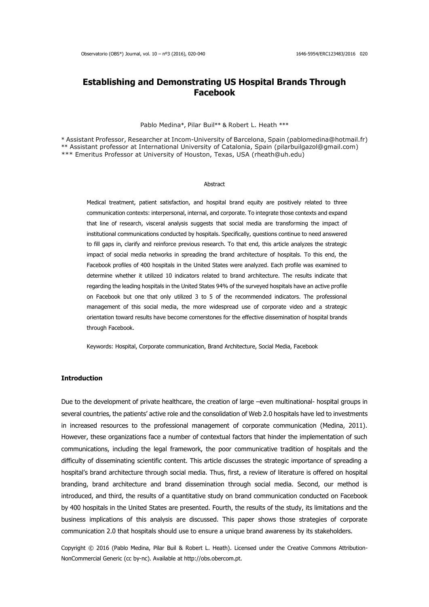# **Establishing and Demonstrating US Hospital Brands Through Facebook**

#### Pablo Medina\*, Pilar Buil\*\* & Robert L. Heath \*\*\*

\* Assistant Professor, Researcher at Incom-University of Barcelona, Spain [\(pablomedina@hotmail.fr\)](mailto:pablomedina@hotmail.fr) \*\* Assistant professor at International University of Catalonia, Spain (pilarbuilgazol@gmail.com)

\*\*\* Emeritus Professor at University of Houston, Texas, USA (rheath@uh.edu)

#### Abstract

Medical treatment, patient satisfaction, and hospital brand equity are positively related to three communication contexts: interpersonal, internal, and corporate. To integrate those contexts and expand that line of research, visceral analysis suggests that social media are transforming the impact of institutional communications conducted by hospitals. Specifically, questions continue to need answered to fill gaps in, clarify and reinforce previous research. To that end, this article analyzes the strategic impact of social media networks in spreading the brand architecture of hospitals. To this end, the Facebook profiles of 400 hospitals in the United States were analyzed. Each profile was examined to determine whether it utilized 10 indicators related to brand architecture. The results indicate that regarding the leading hospitals in the United States 94% of the surveyed hospitals have an active profile on Facebook but one that only utilized 3 to 5 of the recommended indicators. The professional management of this social media, the more widespread use of corporate video and a strategic orientation toward results have become cornerstones for the effective dissemination of hospital brands through Facebook.

Keywords: Hospital, Corporate communication, Brand Architecture, Social Media, Facebook

#### **Introduction**

Due to the development of private healthcare, the creation of large –even multinational- hospital groups in several countries, the patients' active role and the consolidation of Web 2.0 hospitals have led to investments in increased resources to the professional management of corporate communication (Medina, 2011). However, these organizations face a number of contextual factors that hinder the implementation of such communications, including the legal framework, the poor communicative tradition of hospitals and the difficulty of disseminating scientific content. This article discusses the strategic importance of spreading a hospital's brand architecture through social media. Thus, first, a review of literature is offered on hospital branding, brand architecture and brand dissemination through social media. Second, our method is introduced, and third, the results of a quantitative study on brand communication conducted on Facebook by 400 hospitals in the United States are presented. Fourth, the results of the study, its limitations and the business implications of this analysis are discussed. This paper shows those strategies of corporate communication 2.0 that hospitals should use to ensure a unique brand awareness by its stakeholders.

Copyright © 2016 (Pablo Medina, Pilar Buil & Robert L. Heath). Licensed under the Creative Commons Attribution-NonCommercial Generic (cc by-nc). Available at http://obs.obercom.pt.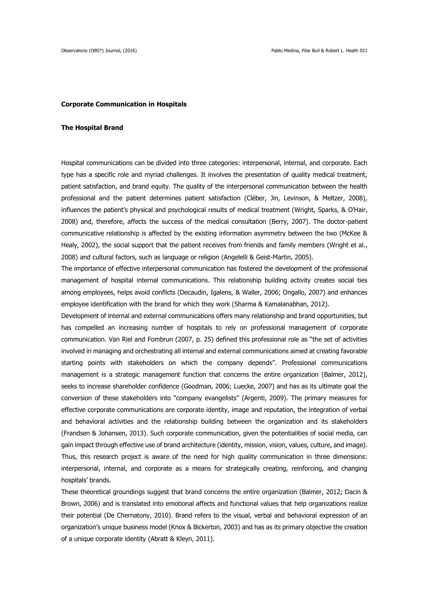#### **Corporate Communication in Hospitals**

#### **The Hospital Brand**

Hospital communications can be divided into three categories: interpersonal, internal, and corporate. Each type has a specific role and myriad challenges. It involves the presentation of quality medical treatment, patient satisfaction, and brand equity. The quality of the interpersonal communication between the health professional and the patient determines patient satisfaction (Cléber, Jin, Levinson, & Meltzer, 2008), influences the patient's physical and psychological results of medical treatment (Wright, Sparks, & O'Hair, 2008) and, therefore, affects the success of the medical consultation (Berry, 2007). The doctor-patient communicative relationship is affected by the existing information asymmetry between the two (McKee & Healy, 2002), the social support that the patient receives from friends and family members (Wright et al., 2008) and cultural factors, such as language or religion (Angelelli & Geist-Martin, 2005).

The importance of effective interpersonal communication has fostered the development of the professional management of hospital internal communications. This relationship building activity creates social ties among employees, helps avoid conflicts (Decaudin, Igalens, & Waller, 2006; Ongallo, 2007) and enhances employee identification with the brand for which they work (Sharma & Kamalanabhan, 2012).

Development of internal and external communications offers many relationship and brand opportunities, but has compelled an increasing number of hospitals to rely on professional management of corporate communication. Van Riel and Fombrun (2007, p. 25) defined this professional role as "the set of activities involved in managing and orchestrating all internal and external communications aimed at creating favorable starting points with stakeholders on which the company depends". Professional communications management is a strategic management function that concerns the entire organization (Balmer, 2012), seeks to increase shareholder confidence (Goodman, 2006; Luecke, 2007) and has as its ultimate goal the conversion of these stakeholders into "company evangelists" (Argenti, 2009). The primary measures for effective corporate communications are corporate identity, image and reputation, the integration of verbal and behavioral activities and the relationship building between the organization and its stakeholders (Frandsen & Johansen, 2013). Such corporate communication, given the potentialities of social media, can gain impact through effective use of brand architecture (identity, mission, vision, values, culture, and image). Thus, this research project is aware of the need for high quality communication in three dimensions: interpersonal, internal, and corporate as a means for strategically creating, reinforcing, and changing hospitals' brands.

These theoretical groundings suggest that brand concerns the entire organization (Balmer, 2012; Dacin & Brown, 2006) and is translated into emotional affects and functional values that help organizations realize their potential (De Chernatony, 2010). Brand refers to the visual, verbal and behavioral expression of an organization's unique business model (Knox & Bickerton, 2003) and has as its primary objective the creation of a unique corporate identity (Abratt & Kleyn, 2011).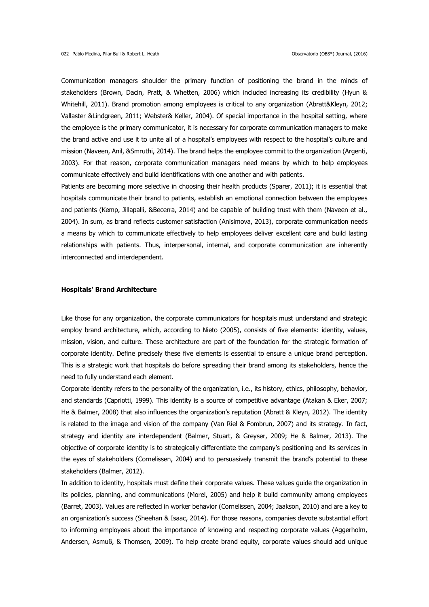Communication managers shoulder the primary function of positioning the brand in the minds of stakeholders (Brown, Dacin, Pratt, & Whetten, 2006) which included increasing its credibility (Hyun & Whitehill, 2011). Brand promotion among employees is critical to any organization (Abratt&Kleyn, 2012; Vallaster &Lindgreen, 2011; Webster& Keller, 2004). Of special importance in the hospital setting, where the employee is the primary communicator, it is necessary for corporate communication managers to make the brand active and use it to unite all of a hospital's employees with respect to the hospital's culture and mission (Naveen, Anil, &Smruthi, 2014). The brand helps the employee commit to the organization (Argenti, 2003). For that reason, corporate communication managers need means by which to help employees communicate effectively and build identifications with one another and with patients.

Patients are becoming more selective in choosing their health products (Sparer, 2011); it is essential that hospitals communicate their brand to patients, establish an emotional connection between the employees and patients (Kemp, Jillapalli, &Becerra, 2014) and be capable of building trust with them (Naveen et al., 2004). In sum, as brand reflects customer satisfaction (Anisimova, 2013), corporate communication needs a means by which to communicate effectively to help employees deliver excellent care and build lasting relationships with patients. Thus, interpersonal, internal, and corporate communication are inherently interconnected and interdependent.

### **Hospitals' Brand Architecture**

Like those for any organization, the corporate communicators for hospitals must understand and strategic employ brand architecture, which, according to Nieto (2005), consists of five elements: identity, values, mission, vision, and culture. These architecture are part of the foundation for the strategic formation of corporate identity. Define precisely these five elements is essential to ensure a unique brand perception. This is a strategic work that hospitals do before spreading their brand among its stakeholders, hence the need to fully understand each element.

Corporate identity refers to the personality of the organization, i.e., its history, ethics, philosophy, behavior, and standards (Capriotti, 1999). This identity is a source of competitive advantage (Atakan & Eker, 2007; He & Balmer, 2008) that also influences the organization's reputation (Abratt & Kleyn, 2012). The identity is related to the image and vision of the company (Van Riel & Fombrun, 2007) and its strategy. In fact, strategy and identity are interdependent (Balmer, Stuart, & Greyser, 2009; He & Balmer, 2013). The objective of corporate identity is to strategically differentiate the company's positioning and its services in the eyes of stakeholders (Cornelissen, 2004) and to persuasively transmit the brand's potential to these stakeholders (Balmer, 2012).

In addition to identity, hospitals must define their corporate values. These values guide the organization in its policies, planning, and communications (Morel, 2005) and help it build community among employees (Barret, 2003). Values are reflected in worker behavior (Cornelissen, 2004; Jaakson, 2010) and are a key to an organization's success (Sheehan & Isaac, 2014). For those reasons, companies devote substantial effort to informing employees about the importance of knowing and respecting corporate values (Aggerholm, Andersen, Asmuß, & Thomsen, 2009). To help create brand equity, corporate values should add unique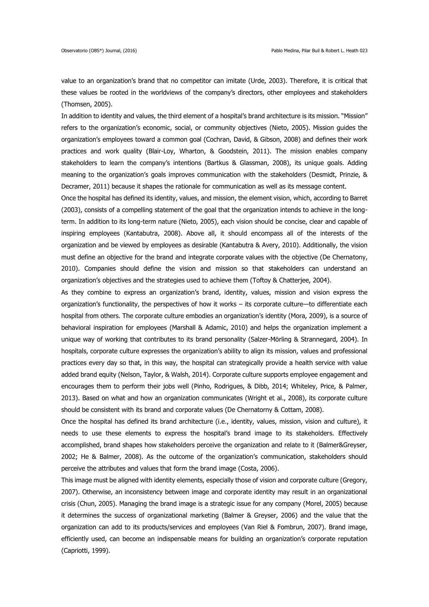value to an organization's brand that no competitor can imitate (Urde, 2003). Therefore, it is critical that these values be rooted in the worldviews of the company's directors, other employees and stakeholders (Thomsen, 2005).

In addition to identity and values, the third element of a hospital's brand architecture is its mission. "Mission" refers to the organization's economic, social, or community objectives (Nieto, 2005). Mission guides the organization's employees toward a common goal (Cochran, David, & Gibson, 2008) and defines their work practices and work quality (Blair-Loy, Wharton, & Goodstein, 2011). The mission enables company stakeholders to learn the company's intentions (Bartkus & Glassman, 2008), its unique goals. Adding meaning to the organization's goals improves communication with the stakeholders (Desmidt, Prinzie, & Decramer, 2011) because it shapes the rationale for communication as well as its message content.

Once the hospital has defined its identity, values, and mission, the element vision, which, according to Barret (2003), consists of a compelling statement of the goal that the organization intends to achieve in the longterm. In addition to its long-term nature (Nieto, 2005), each vision should be concise, clear and capable of inspiring employees (Kantabutra, 2008). Above all, it should encompass all of the interests of the organization and be viewed by employees as desirable (Kantabutra & Avery, 2010). Additionally, the vision must define an objective for the brand and integrate corporate values with the objective (De Chernatony, 2010). Companies should define the vision and mission so that stakeholders can understand an organization's objectives and the strategies used to achieve them (Toftoy & Chatterjee, 2004).

As they combine to express an organization's brand, identity, values, mission and vision express the organization's functionality, the perspectives of how it works – its corporate culture—to differentiate each hospital from others. The corporate culture embodies an organization's identity (Mora, 2009), is a source of behavioral inspiration for employees (Marshall & Adamic, 2010) and helps the organization implement a unique way of working that contributes to its brand personality (Salzer-Mörling & Strannegard, 2004). In hospitals, corporate culture expresses the organization's ability to align its mission, values and professional practices every day so that, in this way, the hospital can strategically provide a health service with value added brand equity (Nelson, Taylor, & Walsh, 2014). Corporate culture supports employee engagement and encourages them to perform their jobs well (Pinho, Rodrigues, & Dibb, 2014; Whiteley, Price, & Palmer, 2013). Based on what and how an organization communicates (Wright et al., 2008), its corporate culture should be consistent with its brand and corporate values (De Chernatorny & Cottam, 2008).

Once the hospital has defined its brand architecture (i.e., identity, values, mission, vision and culture), it needs to use these elements to express the hospital's brand image to its stakeholders. Effectively accomplished, brand shapes how stakeholders perceive the organization and relate to it (Balmer&Greyser, 2002; He & Balmer, 2008). As the outcome of the organization's communication, stakeholders should perceive the attributes and values that form the brand image (Costa, 2006).

This image must be aligned with identity elements, especially those of vision and corporate culture (Gregory, 2007). Otherwise, an inconsistency between image and corporate identity may result in an organizational crisis (Chun, 2005). Managing the brand image is a strategic issue for any company (Morel, 2005) because it determines the success of organizational marketing (Balmer & Greyser, 2006) and the value that the organization can add to its products/services and employees (Van Riel & Fombrun, 2007). Brand image, efficiently used, can become an indispensable means for building an organization's corporate reputation (Capriotti, 1999).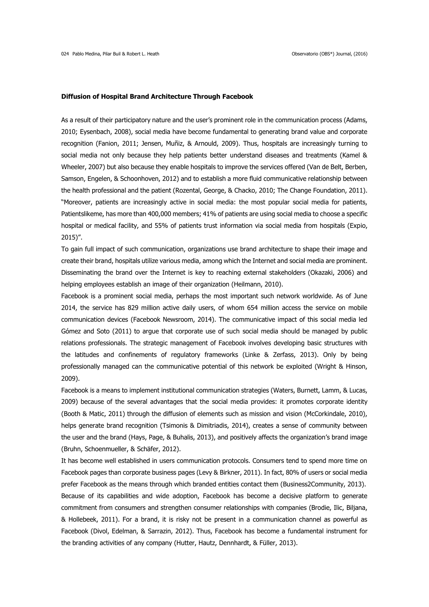#### **Diffusion of Hospital Brand Architecture Through Facebook**

As a result of their participatory nature and the user's prominent role in the communication process (Adams, 2010; Eysenbach, 2008), social media have become fundamental to generating brand value and corporate recognition (Fanion, 2011; Jensen, Muñiz, & Arnould, 2009). Thus, hospitals are increasingly turning to social media not only because they help patients better understand diseases and treatments (Kamel & Wheeler, 2007) but also because they enable hospitals to improve the services offered (Van de Belt, Berben, Samson, Engelen, & Schoonhoven, 2012) and to establish a more fluid communicative relationship between the health professional and the patient (Rozental, George, & Chacko, 2010; The Change Foundation, 2011). "Moreover, patients are increasingly active in social media: the most popular social media for patients, Patientslikeme, has more than 400,000 members; 41% of patients are using social media to choose a specific hospital or medical facility, and 55% of patients trust information via social media from hospitals (Expio, 2015)".

To gain full impact of such communication, organizations use brand architecture to shape their image and create their brand, hospitals utilize various media, among which the Internet and social media are prominent. Disseminating the brand over the Internet is key to reaching external stakeholders (Okazaki, 2006) and helping employees establish an image of their organization (Heilmann, 2010).

Facebook is a prominent social media, perhaps the most important such network worldwide. As of June 2014, the service has 829 million active daily users, of whom 654 million access the service on mobile communication devices (Facebook Newsroom, 2014). The communicative impact of this social media led Gómez and Soto (2011) to argue that corporate use of such social media should be managed by public relations professionals. The strategic management of Facebook involves developing basic structures with the latitudes and confinements of regulatory frameworks (Linke & Zerfass, 2013). Only by being professionally managed can the communicative potential of this network be exploited (Wright & Hinson, 2009).

Facebook is a means to implement institutional communication strategies (Waters, Burnett, Lamm, & Lucas, 2009) because of the several advantages that the social media provides: it promotes corporate identity (Booth & Matic, 2011) through the diffusion of elements such as mission and vision (McCorkindale, 2010), helps generate brand recognition (Tsimonis & Dimitriadis, 2014), creates a sense of community between the user and the brand (Hays, Page, & Buhalis, 2013), and positively affects the organization's brand image (Bruhn, Schoenmueller, & Schäfer, 2012).

It has become well established in users communication protocols. Consumers tend to spend more time on Facebook pages than corporate business pages (Levy & Birkner, 2011). In fact, 80% of users or social media prefer Facebook as the means through which branded entities contact them (Business2Community, 2013). Because of its capabilities and wide adoption, Facebook has become a decisive platform to generate commitment from consumers and strengthen consumer relationships with companies (Brodie, Ilic, Biljana, & Hollebeek, 2011). For a brand, it is risky not be present in a communication channel as powerful as Facebook (Divol, Edelman, & Sarrazin, 2012). Thus, Facebook has become a fundamental instrument for the branding activities of any company (Hutter, Hautz, Dennhardt, & Füller, 2013).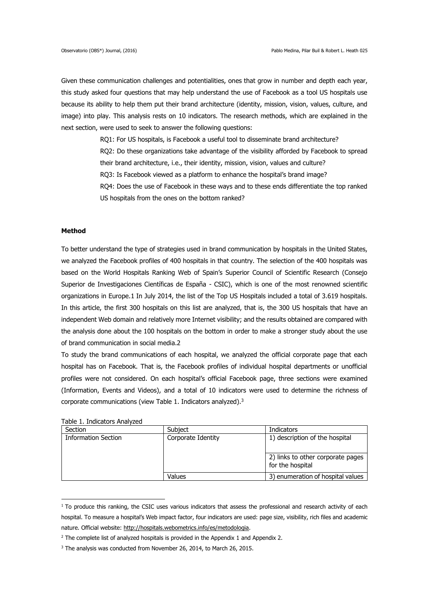Given these communication challenges and potentialities, ones that grow in number and depth each year, this study asked four questions that may help understand the use of Facebook as a tool US hospitals use because its ability to help them put their brand architecture (identity, mission, vision, values, culture, and image) into play. This analysis rests on 10 indicators. The research methods, which are explained in the next section, were used to seek to answer the following questions:

RQ1: For US hospitals, is Facebook a useful tool to disseminate brand architecture?

RQ2: Do these organizations take advantage of the visibility afforded by Facebook to spread

their brand architecture, i.e., their identity, mission, vision, values and culture?

RQ3: Is Facebook viewed as a platform to enhance the hospital's brand image?

RQ4: Does the use of Facebook in these ways and to these ends differentiate the top ranked US hospitals from the ones on the bottom ranked?

# **Method**

To better understand the type of strategies used in brand communication by hospitals in the United States, we analyzed the Facebook profiles of 400 hospitals in that country. The selection of the 400 hospitals was based on the World Hospitals Ranking Web of Spain's Superior Council of Scientific Research (Consejo Superior de Investigaciones Científicas de España - CSIC), which is one of the most renowned scientific organizations in Europe.1 In July 2014, the list of the Top US Hospitals included a total of 3.619 hospitals. In this article, the first 300 hospitals on this list are analyzed, that is, the 300 US hospitals that have an independent Web domain and relatively more Internet visibility; and the results obtained are compared with the analysis done about the 100 hospitals on the bottom in order to make a stronger study about the use of brand communication in social media.2

To study the brand communications of each hospital, we analyzed the official corporate page that each hospital has on Facebook. That is, the Facebook profiles of individual hospital departments or unofficial profiles were not considered. On each hospital's official Facebook page, three sections were examined (Information, Events and Videos), and a total of 10 indicators were used to determine the richness of corporate communications (view Table 1. Indicators analyzed).<sup>3</sup>

| abic 1. Indicators Andreca |                    |                                                       |
|----------------------------|--------------------|-------------------------------------------------------|
| Section                    | Subject            | <b>Indicators</b>                                     |
| <b>Information Section</b> | Corporate Identity | 1) description of the hospital                        |
|                            |                    | 2) links to other corporate pages<br>for the hospital |
|                            | Values             | 3) enumeration of hospital values                     |

Table 1. Indicators Analyzed

<u>.</u>

 $1$  To produce this ranking, the CSIC uses various indicators that assess the professional and research activity of each hospital. To measure a hospital's Web impact factor, four indicators are used: page size, visibility, rich files and academic nature. Official website: http://hospitals.webometrics.info/es/metodologia.

 $2$  The complete list of analyzed hospitals is provided in the Appendix 1 and Appendix 2.

<sup>&</sup>lt;sup>3</sup> The analysis was conducted from November 26, 2014, to March 26, 2015.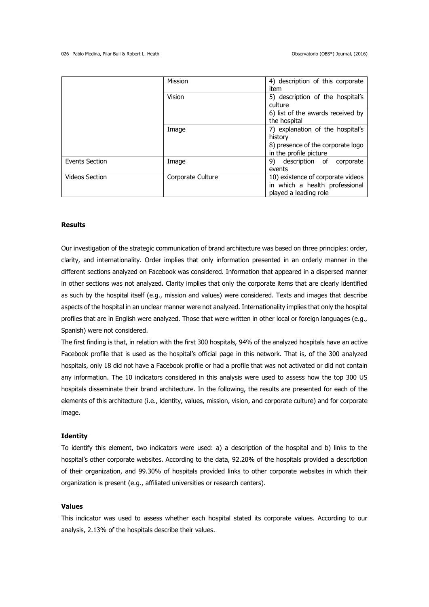|                       | Mission           | 4) description of this corporate  |  |
|-----------------------|-------------------|-----------------------------------|--|
|                       |                   | item                              |  |
|                       | Vision            | 5) description of the hospital's  |  |
|                       |                   | culture                           |  |
|                       |                   | 6) list of the awards received by |  |
|                       |                   | the hospital                      |  |
|                       | Image             | 7) explanation of the hospital's  |  |
|                       |                   | history                           |  |
|                       |                   | 8) presence of the corporate logo |  |
|                       |                   | in the profile picture            |  |
| <b>Events Section</b> | Image             | 9)<br>description of<br>corporate |  |
|                       |                   | events                            |  |
| <b>Videos Section</b> | Corporate Culture | 10) existence of corporate videos |  |
|                       |                   | in which a health professional    |  |
|                       |                   | played a leading role             |  |

# **Results**

Our investigation of the strategic communication of brand architecture was based on three principles: order, clarity, and internationality. Order implies that only information presented in an orderly manner in the different sections analyzed on Facebook was considered. Information that appeared in a dispersed manner in other sections was not analyzed. Clarity implies that only the corporate items that are clearly identified as such by the hospital itself (e.g., mission and values) were considered. Texts and images that describe aspects of the hospital in an unclear manner were not analyzed. Internationality implies that only the hospital profiles that are in English were analyzed. Those that were written in other local or foreign languages (e.g., Spanish) were not considered.

The first finding is that, in relation with the first 300 hospitals, 94% of the analyzed hospitals have an active Facebook profile that is used as the hospital's official page in this network. That is, of the 300 analyzed hospitals, only 18 did not have a Facebook profile or had a profile that was not activated or did not contain any information. The 10 indicators considered in this analysis were used to assess how the top 300 US hospitals disseminate their brand architecture. In the following, the results are presented for each of the elements of this architecture (i.e., identity, values, mission, vision, and corporate culture) and for corporate image.

#### **Identity**

To identify this element, two indicators were used: a) a description of the hospital and b) links to the hospital's other corporate websites. According to the data, 92.20% of the hospitals provided a description of their organization, and 99.30% of hospitals provided links to other corporate websites in which their organization is present (e.g., affiliated universities or research centers).

# **Values**

This indicator was used to assess whether each hospital stated its corporate values. According to our analysis, 2.13% of the hospitals describe their values.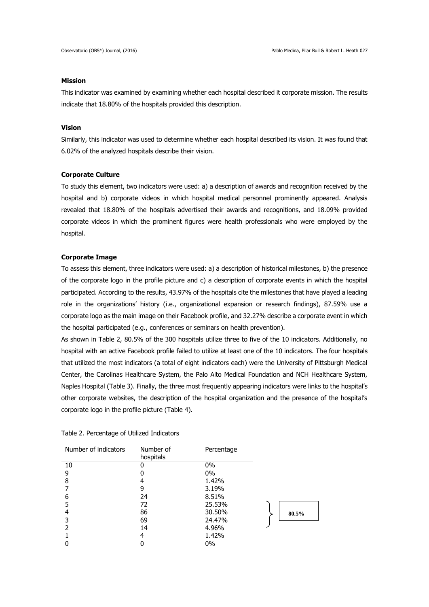## **Mission**

This indicator was examined by examining whether each hospital described it corporate mission. The results indicate that 18.80% of the hospitals provided this description.

### **Vision**

Similarly, this indicator was used to determine whether each hospital described its vision. It was found that 6.02% of the analyzed hospitals describe their vision.

### **Corporate Culture**

To study this element, two indicators were used: a) a description of awards and recognition received by the hospital and b) corporate videos in which hospital medical personnel prominently appeared. Analysis revealed that 18.80% of the hospitals advertised their awards and recognitions, and 18.09% provided corporate videos in which the prominent figures were health professionals who were employed by the hospital.

## **Corporate Image**

To assess this element, three indicators were used: a) a description of historical milestones, b) the presence of the corporate logo in the profile picture and c) a description of corporate events in which the hospital participated. According to the results, 43.97% of the hospitals cite the milestones that have played a leading role in the organizations' history (i.e., organizational expansion or research findings), 87.59% use a corporate logo as the main image on their Facebook profile, and 32.27% describe a corporate event in which the hospital participated (e.g., conferences or seminars on health prevention).

As shown in Table 2, 80.5% of the 300 hospitals utilize three to five of the 10 indicators. Additionally, no hospital with an active Facebook profile failed to utilize at least one of the 10 indicators. The four hospitals that utilized the most indicators (a total of eight indicators each) were the University of Pittsburgh Medical Center, the Carolinas Healthcare System, the Palo Alto Medical Foundation and NCH Healthcare System, Naples Hospital (Table 3). Finally, the three most frequently appearing indicators were links to the hospital's other corporate websites, the description of the hospital organization and the presence of the hospital's corporate logo in the profile picture (Table 4).

| Number of indicators | Number of<br>hospitals | Percentage |       |
|----------------------|------------------------|------------|-------|
| 10                   | 0                      | 0%         |       |
| 9                    |                        | $0\%$      |       |
| 8                    | 4                      | 1.42%      |       |
|                      | 9                      | 3.19%      |       |
| 6                    | 24                     | 8.51%      |       |
| 5                    | 72                     | 25.53%     |       |
| 4                    | 86                     | 30.50%     | 80.5% |
| 3                    | 69                     | 24.47%     |       |
|                      | 14                     | 4.96%      |       |
|                      | 4                      | 1.42%      |       |
|                      |                        | $0\%$      |       |

#### Table 2. Percentage of Utilized Indicators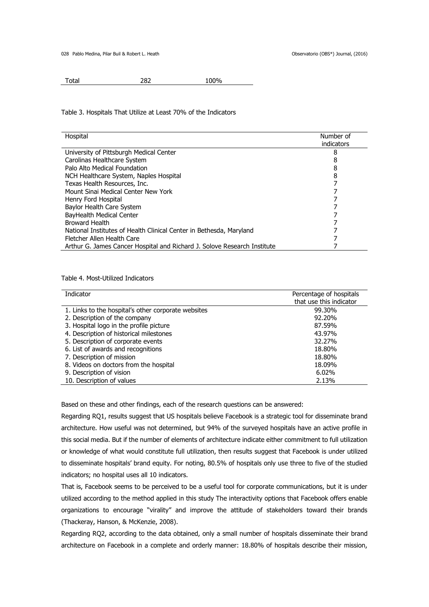028 Pablo Medina, Pilar Buil & Robert L. Heath Observatorio (OBS\*) Journal, (2016)

Total 282 100%

#### Table 3. Hospitals That Utilize at Least 70% of the Indicators

| Hospital                                                                 | Number of  |
|--------------------------------------------------------------------------|------------|
|                                                                          | indicators |
| University of Pittsburgh Medical Center                                  | 8          |
| Carolinas Healthcare System                                              | 8          |
| Palo Alto Medical Foundation                                             | 8          |
| NCH Healthcare System, Naples Hospital                                   | 8          |
| Texas Health Resources, Inc.                                             |            |
| Mount Sinai Medical Center New York                                      |            |
| Henry Ford Hospital                                                      |            |
| Baylor Health Care System                                                |            |
| BayHealth Medical Center                                                 |            |
| <b>Broward Health</b>                                                    |            |
| National Institutes of Health Clinical Center in Bethesda, Maryland      |            |
| Fletcher Allen Health Care                                               |            |
| Arthur G. James Cancer Hospital and Richard J. Solove Research Institute |            |

# Table 4. Most-Utilized Indicators

| Indicator                                           | Percentage of hospitals<br>that use this indicator |
|-----------------------------------------------------|----------------------------------------------------|
| 1. Links to the hospital's other corporate websites | 99.30%                                             |
| 2. Description of the company                       | 92.20%                                             |
| 3. Hospital logo in the profile picture             | 87.59%                                             |
| 4. Description of historical milestones             | 43.97%                                             |
| 5. Description of corporate events                  | 32.27%                                             |
| 6. List of awards and recognitions                  | 18.80%                                             |
| 7. Description of mission                           | 18.80%                                             |
| 8. Videos on doctors from the hospital              | 18.09%                                             |
| 9. Description of vision                            | 6.02%                                              |
| 10. Description of values                           | 2.13%                                              |

Based on these and other findings, each of the research questions can be answered:

Regarding RQ1, results suggest that US hospitals believe Facebook is a strategic tool for disseminate brand architecture. How useful was not determined, but 94% of the surveyed hospitals have an active profile in this social media. But if the number of elements of architecture indicate either commitment to full utilization or knowledge of what would constitute full utilization, then results suggest that Facebook is under utilized to disseminate hospitals' brand equity. For noting, 80.5% of hospitals only use three to five of the studied indicators; no hospital uses all 10 indicators.

That is, Facebook seems to be perceived to be a useful tool for corporate communications, but it is under utilized according to the method applied in this study The interactivity options that Facebook offers enable organizations to encourage "virality" and improve the attitude of stakeholders toward their brands (Thackeray, Hanson, & McKenzie, 2008).

Regarding RQ2, according to the data obtained, only a small number of hospitals disseminate their brand architecture on Facebook in a complete and orderly manner: 18.80% of hospitals describe their mission,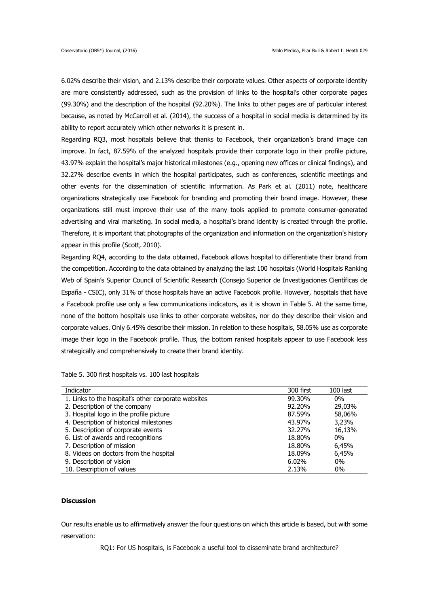6.02% describe their vision, and 2.13% describe their corporate values. Other aspects of corporate identity are more consistently addressed, such as the provision of links to the hospital's other corporate pages (99.30%) and the description of the hospital (92.20%). The links to other pages are of particular interest because, as noted by McCarroll et al. (2014), the success of a hospital in social media is determined by its ability to report accurately which other networks it is present in.

Regarding RQ3, most hospitals believe that thanks to Facebook, their organization's brand image can improve. In fact, 87.59% of the analyzed hospitals provide their corporate logo in their profile picture, 43.97% explain the hospital's major historical milestones (e.g., opening new offices or clinical findings), and 32.27% describe events in which the hospital participates, such as conferences, scientific meetings and other events for the dissemination of scientific information. As Park et al. (2011) note, healthcare organizations strategically use Facebook for branding and promoting their brand image. However, these organizations still must improve their use of the many tools applied to promote consumer-generated advertising and viral marketing. In social media, a hospital's brand identity is created through the profile. Therefore, it is important that photographs of the organization and information on the organization's history appear in this profile (Scott, 2010).

Regarding RQ4, according to the data obtained, Facebook allows hospital to differentiate their brand from the competition. According to the data obtained by analyzing the last 100 hospitals (World Hospitals Ranking Web of Spain's Superior Council of Scientific Research (Consejo Superior de Investigaciones Científicas de España - CSIC), only 31% of those hospitals have an active Facebook profile. However, hospitals that have a Facebook profile use only a few communications indicators, as it is shown in Table 5. At the same time, none of the bottom hospitals use links to other corporate websites, nor do they describe their vision and corporate values. Only 6.45% describe their mission. In relation to these hospitals, 58.05% use as corporate image their logo in the Facebook profile. Thus, the bottom ranked hospitals appear to use Facebook less strategically and comprehensively to create their brand identity.

Table 5. 300 first hospitals vs. 100 last hospitals

| Indicator                                           | 300 first | $100$ last |
|-----------------------------------------------------|-----------|------------|
| 1. Links to the hospital's other corporate websites | 99.30%    | $0\%$      |
| 2. Description of the company                       | 92.20%    | 29,03%     |
| 3. Hospital logo in the profile picture             | 87.59%    | 58,06%     |
| 4. Description of historical milestones             | 43.97%    | 3,23%      |
| 5. Description of corporate events                  | 32.27%    | 16,13%     |
| 6. List of awards and recognitions                  | 18.80%    | $0\%$      |
| 7. Description of mission                           | 18.80%    | 6,45%      |
| 8. Videos on doctors from the hospital              | 18.09%    | 6,45%      |
| 9. Description of vision                            | 6.02%     | $0\%$      |
| 10. Description of values                           | 2.13%     | $0\%$      |

# **Discussion**

Our results enable us to affirmatively answer the four questions on which this article is based, but with some reservation:

RQ1: For US hospitals, is Facebook a useful tool to disseminate brand architecture?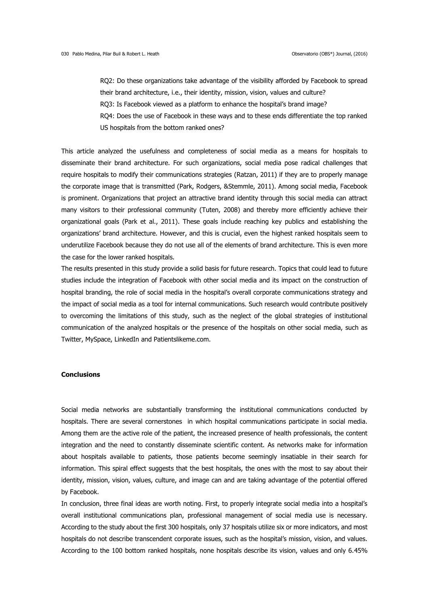RQ2: Do these organizations take advantage of the visibility afforded by Facebook to spread their brand architecture, i.e., their identity, mission, vision, values and culture? RQ3: Is Facebook viewed as a platform to enhance the hospital's brand image? RQ4: Does the use of Facebook in these ways and to these ends differentiate the top ranked US hospitals from the bottom ranked ones?

This article analyzed the usefulness and completeness of social media as a means for hospitals to disseminate their brand architecture. For such organizations, social media pose radical challenges that require hospitals to modify their communications strategies (Ratzan, 2011) if they are to properly manage the corporate image that is transmitted (Park, Rodgers, &Stemmle, 2011). Among social media, Facebook is prominent. Organizations that project an attractive brand identity through this social media can attract many visitors to their professional community (Tuten, 2008) and thereby more efficiently achieve their organizational goals (Park et al., 2011). These goals include reaching key publics and establishing the organizations' brand architecture. However, and this is crucial, even the highest ranked hospitals seem to underutilize Facebook because they do not use all of the elements of brand architecture. This is even more the case for the lower ranked hospitals.

The results presented in this study provide a solid basis for future research. Topics that could lead to future studies include the integration of Facebook with other social media and its impact on the construction of hospital branding, the role of social media in the hospital's overall corporate communications strategy and the impact of social media as a tool for internal communications. Such research would contribute positively to overcoming the limitations of this study, such as the neglect of the global strategies of institutional communication of the analyzed hospitals or the presence of the hospitals on other social media, such as Twitter, MySpace, LinkedIn and Patientslikeme.com.

# **Conclusions**

Social media networks are substantially transforming the institutional communications conducted by hospitals. There are several cornerstones in which hospital communications participate in social media. Among them are the active role of the patient, the increased presence of health professionals, the content integration and the need to constantly disseminate scientific content. As networks make for information about hospitals available to patients, those patients become seemingly insatiable in their search for information. This spiral effect suggests that the best hospitals, the ones with the most to say about their identity, mission, vision, values, culture, and image can and are taking advantage of the potential offered by Facebook.

In conclusion, three final ideas are worth noting. First, to properly integrate social media into a hospital's overall institutional communications plan, professional management of social media use is necessary. According to the study about the first 300 hospitals, only 37 hospitals utilize six or more indicators, and most hospitals do not describe transcendent corporate issues, such as the hospital's mission, vision, and values. According to the 100 bottom ranked hospitals, none hospitals describe its vision, values and only 6.45%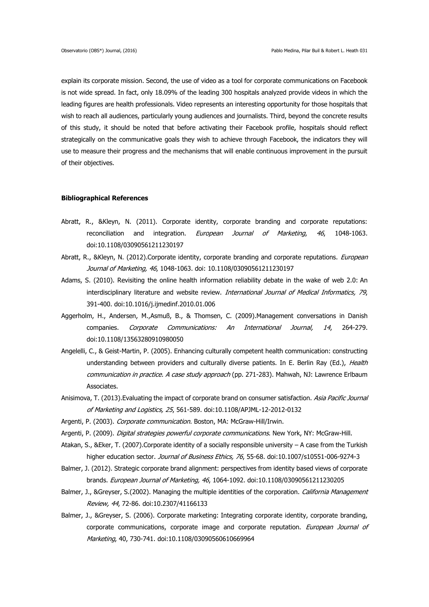explain its corporate mission. Second, the use of video as a tool for corporate communications on Facebook is not wide spread. In fact, only 18.09% of the leading 300 hospitals analyzed provide videos in which the leading figures are health professionals. Video represents an interesting opportunity for those hospitals that wish to reach all audiences, particularly young audiences and journalists. Third, beyond the concrete results of this study, it should be noted that before activating their Facebook profile, hospitals should reflect strategically on the communicative goals they wish to achieve through Facebook, the indicators they will use to measure their progress and the mechanisms that will enable continuous improvement in the pursuit of their objectives.

### **Bibliographical References**

- Abratt, R., &Kleyn, N. (2011). Corporate identity, corporate branding and corporate reputations: reconciliation and integration. European Journal of Marketing. 46, 1048-1063. doi:10.1108/03090561211230197
- Abratt, R., &Kleyn, N. (2012).Corporate identity, corporate branding and corporate reputations. *European* Journal of Marketing, 46, 1048-1063. doi: 10.1108/03090561211230197
- Adams, S. (2010). Revisiting the online health information reliability debate in the wake of web 2.0: An interdisciplinary literature and website review. International Journal of Medical Informatics, 79, 391-400. doi:10.1016/j.ijmedinf.2010.01.006
- Aggerholm, H., Andersen, M.,Asmuß, B., & Thomsen, C. (2009).Management conversations in Danish companies. Corporate Communications: An International Journal, 14, 264-279. doi:10.1108/13563280910980050
- Angelelli, C., & Geist-Martin, P. (2005). Enhancing culturally competent health communication: constructing understanding between providers and culturally diverse patients. In E. Berlin Ray (Ed.), Health communication in practice. A case study approach (pp. 271-283). Mahwah, NJ: Lawrence Erlbaum Associates.
- Anisimova, T. (2013). Evaluating the impact of corporate brand on consumer satisfaction. Asia Pacific Journal of Marketing and Logistics, 25, 561-589. doi:10.1108/APJML-12-2012-0132
- Argenti, P. (2003). Corporate communication. Boston, MA: McGraw-Hill/Irwin.
- Argenti, P. (2009). *Digital strategies powerful corporate communications*. New York, NY: McGraw-Hill.
- Atakan, S., &Eker, T. (2007).Corporate identity of a socially responsible university A case from the Turkish higher education sector. Journal of Business Ethics, 76, 55-68. doi:10.1007/s10551-006-9274-3
- Balmer, J. (2012). Strategic corporate brand alignment: perspectives from identity based views of corporate brands. European Journal of Marketing, 46, 1064-1092. doi:10.1108/03090561211230205
- Balmer, J., &Greyser, S.(2002). Managing the multiple identities of the corporation. California Management Review, 44, 72-86. doi:10.2307/41166133
- Balmer, J., &Greyser, S. (2006). Corporate marketing: Integrating corporate identity, corporate branding, corporate communications, corporate image and corporate reputation. European Journal of Marketing, 40, 730-741. doi:10.1108/03090560610669964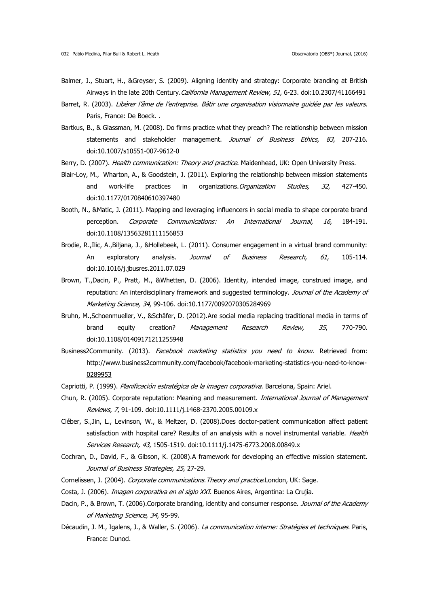- Balmer, J., Stuart, H., &Greyser, S. (2009). Aligning identity and strategy: Corporate branding at British Airways in the late 20th Century. California Management Review, 51, 6-23. doi:10.2307/41166491
- Barret, R. (2003). Libérer l'âme de l'entreprise. Bâtir une organisation visionnaire guidée par les valeurs. Paris, France: De Boeck. .
- Bartkus, B., & Glassman, M. (2008). Do firms practice what they preach? The relationship between mission statements and stakeholder management. Journal of Business Ethics, 83, 207-216. doi:10.1007/s10551-007-9612-0
- Berry, D. (2007). Health communication: Theory and practice. Maidenhead, UK: Open University Press.
- Blair-Loy, M., Wharton, A., & Goodstein, J. (2011). Exploring the relationship between mission statements and work-life practices in organizations. *Organization Studies, 32*, 427-450. doi:10.1177/0170840610397480
- Booth, N., &Matic, J. (2011). Mapping and leveraging influencers in social media to shape corporate brand perception. Corporate Communications: An International Journal, 16, 184-191. doi:10.1108/13563281111156853
- Brodie, R.,Ilic, A.,Biljana, J., &Hollebeek, L. (2011). Consumer engagement in a virtual brand community: An exploratory analysis. Journal of Business Research, 61, 105-114. doi:10.1016/j.jbusres.2011.07.029
- Brown, T.,Dacin, P., Pratt, M., &Whetten, D. (2006). Identity, intended image, construed image, and reputation: An interdisciplinary framework and suggested terminology. Journal of the Academy of Marketing Science, 34, 99-106. doi:10.1177/0092070305284969
- Bruhn, M.,Schoenmueller, V., &Schäfer, D. (2012).Are social media replacing traditional media in terms of brand equity creation? Management Research Review, 35, 770-790. doi:10.1108/01409171211255948
- Business2Community. (2013). Facebook marketing statistics you need to know. Retrieved from: http://www.business2community.com/facebook/facebook-marketing-statistics-you-need-to-know-0289953
- Capriotti, P. (1999). Planificación estratégica de la imagen corporativa. Barcelona, Spain: Ariel.
- Chun, R. (2005). Corporate reputation: Meaning and measurement. International Journal of Management Reviews, 7, 91-109. doi:10.1111/j.1468-2370.2005.00109.x
- Cléber, S.,Jin, L., Levinson, W., & Meltzer, D. (2008).Does doctor-patient communication affect patient satisfaction with hospital care? Results of an analysis with a novel instrumental variable. Health Services Research, 43, 1505-1519. doi:10.1111/j.1475-6773.2008.00849.x
- Cochran, D., David, F., & Gibson, K. (2008).A framework for developing an effective mission statement. Journal of Business Strategies, 25, 27-29.
- Cornelissen, J. (2004). Corporate communications.Theory and practice.London, UK: Sage.
- Costa, J. (2006). *Imagen corporativa en el siglo XXI*. Buenos Aires, Argentina: La Crujía.
- Dacin, P., & Brown, T. (2006).Corporate branding, identity and consumer response. Journal of the Academy of Marketing Science, 34, 95-99.
- Décaudin, J. M., Igalens, J., & Waller, S. (2006). La communication interne: Stratégies et techniques. Paris, France: Dunod.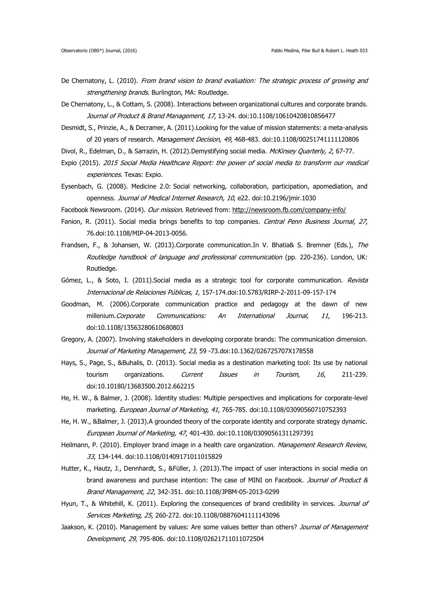- De Chernatony, L. (2010). From brand vision to brand evaluation: The strategic process of growing and strengthening brands. Burlington, MA: Routledge.
- De Chernatony, L., & Cottam, S. (2008). Interactions between organizational cultures and corporate brands. Journal of Product & Brand Management, 17, 13-24. doi:10.1108/10610420810856477
- Desmidt, S., Prinzie, A., & Decramer, A. (2011).Looking for the value of mission statements: a meta-analysis of 20 years of research. Management Decision, 49, 468-483. doi:10.1108/00251741111120806
- Divol, R., Edelman, D., & Sarrazin, H. (2012).Demystifying social media. McKinsey Quarterly, 2, 67-77.
- Expio (2015). 2015 Social Media Healthcare Report: the power of social media to transform our medical experiences. Texas: Expio.
- Eysenbach, G. (2008). Medicine 2.0: Social networking, collaboration, participation, apomediation, and openness. Journal of Medical Internet Research, 10, e22. doi:10.2196/jmir.1030
- Facebook Newsroom. (2014). Our mission. Retrieved from: http://newsroom.fb.com/company-info/
- Fanion, R. (2011). Social media brings benefits to top companies. Central Penn Business Journal, 27, 76.doi:10.1108/MIP-04-2013-0056.
- Frandsen, F., & Johansen, W. (2013).Corporate communication.In V. Bhatia& S. Bremner (Eds.), The Routledge handbook of language and professional communication (pp. 220-236). London, UK: Routledge.
- Gómez, L., & Soto, I. (2011).Social media as a strategic tool for corporate communication. Revista Internacional de Relaciones Públicas, 1, 157-174.doi:10.5783/RIRP-2-2011-09-157-174
- Goodman, M. (2006).Corporate communication practice and pedagogy at the dawn of new millenium. Corporate Communications: An International Journal, 11, 196-213. doi:10.1108/13563280610680803
- Gregory, A. (2007). Involving stakeholders in developing corporate brands: The communication dimension. Journal of Marketing Management, 23, 59 -73.doi:10.1362/026725707X178558
- Hays, S., Page, S., &Buhalis, D. (2013). Social media as a destination marketing tool: Its use by national tourism organizations. Current Issues in Tourism, 16, 211-239. doi:10.10180/13683500.2012.662215
- He, H. W., & Balmer, J. (2008). Identity studies: Multiple perspectives and implications for corporate-level marketing. European Journal of Marketing, 41, 765-785. doi:10.1108/03090560710752393
- He, H. W., &Balmer, J. (2013).A grounded theory of the corporate identity and corporate strategy dynamic. European Journal of Marketing, 47, 401-430. doi:10.1108/03090561311297391
- Heilmann, P. (2010). Employer brand image in a health care organization. Management Research Review, 33, 134-144. doi:10.1108/01409171011015829
- Hutter, K., Hautz, J., Dennhardt, S., &Füller, J. (2013).The impact of user interactions in social media on brand awareness and purchase intention: The case of MINI on Facebook. Journal of Product & Brand Management, 22, 342-351. doi:10.1108/JPBM-05-2013-0299
- Hyun, T., & Whitehill, K. (2011). Exploring the consequences of brand credibility in services. *Journal of* Services Marketing, 25, 260-272. doi:10.1108/08876041111143096
- Jaakson, K. (2010). Management by values: Are some values better than others? Journal of Management Development, 29, 795-806. doi:10.1108/02621711011072504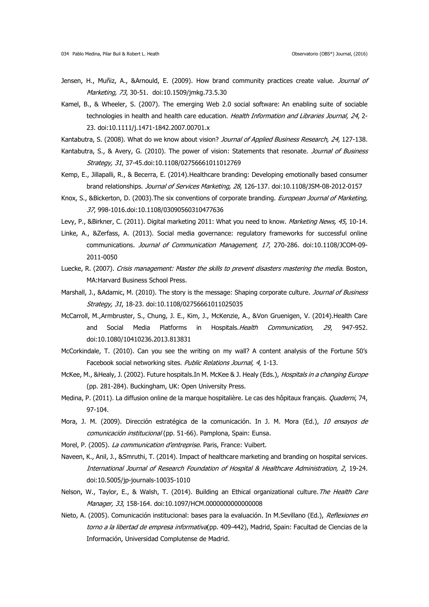- Jensen, H., Muñiz, A., &Arnould, E. (2009). How brand community practices create value. Journal of Marketing, 73, 30-51. doi:10.1509/jmkg.73.5.30
- Kamel, B., & Wheeler, S. (2007). The emerging Web 2.0 social software: An enabling suite of sociable technologies in health and health care education. Health Information and Libraries Journal, 24, 2-23. doi:10.1111/j.1471-1842.2007.00701.x

Kantabutra, S. (2008). What do we know about vision? Journal of Applied Business Research, 24, 127-138.

- Kantabutra, S., & Avery, G. (2010). The power of vision: Statements that resonate. Journal of Business Strategy, 31, 37-45.doi:10.1108/02756661011012769
- Kemp, E., Jillapalli, R., & Becerra, E. (2014).Healthcare branding: Developing emotionally based consumer brand relationships. Journal of Services Marketing, 28, 126-137. doi:10.1108/JSM-08-2012-0157
- Knox, S., &Bickerton, D. (2003). The six conventions of corporate branding. *European Journal of Marketing*, 37, 998-1016.doi:10.1108/03090560310477636
- Levy, P., &Birkner, C. (2011). Digital marketing 2011: What you need to know. Marketing News, 45, 10-14.
- Linke, A., &Zerfass, A. (2013). Social media governance: regulatory frameworks for successful online communications. Journal of Communication Management, 17, 270-286. doi:10.1108/JCOM-09- 2011-0050
- Luecke, R. (2007). Crisis management: Master the skills to prevent disasters mastering the media. Boston, MA:Harvard Business School Press.
- Marshall, J., &Adamic, M. (2010). The story is the message: Shaping corporate culture. Journal of Business Strategy, 31, 18-23. doi:10.1108/02756661011025035
- McCarroll, M.,Armbruster, S., Chung, J. E., Kim, J., McKenzie, A., &Von Gruenigen, V. (2014).Health Care and Social Media Platforms in Hospitals. Health Communication, 29, 947-952. doi:10.1080/10410236.2013.813831
- McCorkindale, T. (2010). Can you see the writing on my wall? A content analysis of the Fortune 50's Facebook social networking sites. Public Relations Journal, 4, 1-13.
- McKee, M., &Healy, J. (2002). Future hospitals.In M. McKee & J. Healy (Eds.), Hospitals in a changing Europe (pp. 281-284). Buckingham, UK: Open University Press.
- Medina, P. (2011). La diffusion online de la marque hospitalière. Le cas des hôpitaux français. Quaderni, 74, 97-104.
- Mora, J. M. (2009). Dirección estratégica de la comunicación. In J. M. Mora (Ed.), 10 ensayos de comunicación institucional (pp. 51-66). Pamplona, Spain: Eunsa.
- Morel, P. (2005). La communication d'entreprise. Paris, France: Vuibert.
- Naveen, K., Anil, J., &Smruthi, T. (2014). Impact of healthcare marketing and branding on hospital services. International Journal of Research Foundation of Hospital & Healthcare Administration, 2, 19-24. doi:10.5005/jp-journals-10035-1010
- Nelson, W., Taylor, E., & Walsh, T. (2014). Building an Ethical organizational culture. The Health Care Manager, 33, 158-164. doi:10.1097/HCM.0000000000000008
- Nieto, A. (2005). Comunicación institucional: bases para la evaluación. In M.Sevillano (Ed.), Reflexiones en torno a la libertad de empresa informativa(pp. 409-442), Madrid, Spain: Facultad de Ciencias de la Información, Universidad Complutense de Madrid.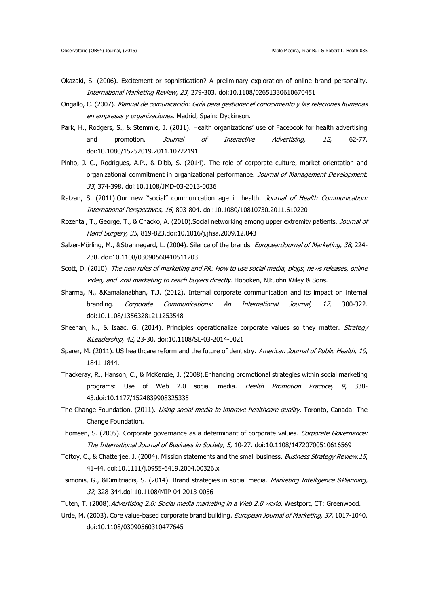- Okazaki, S. (2006). Excitement or sophistication? A preliminary exploration of online brand personality. International Marketing Review, 23, 279-303. doi:10.1108/02651330610670451
- Ongallo, C. (2007). Manual de comunicación: Guía para gestionar el conocimiento y las relaciones humanas en empresas y organizaciones. Madrid, Spain: Dyckinson.
- Park, H., Rodgers, S., & Stemmle, J. (2011). Health organizations' use of Facebook for health advertising and promotion. Journal of Interactive Advertising, 12, 62-77. doi:10.1080/15252019.2011.10722191
- Pinho, J. C., Rodrigues, A.P., & Dibb, S. (2014). The role of corporate culture, market orientation and organizational commitment in organizational performance. Journal of Management Development, 33, 374-398. doi:10.1108/JMD-03-2013-0036
- Ratzan, S. (2011).Our new "social" communication age in health. Journal of Health Communication: International Perspectives, 16, 803-804. doi:10.1080/10810730.2011.610220
- Rozental, T., George, T., & Chacko, A. (2010).Social networking among upper extremity patients, Journal of Hand Surgery, 35, 819-823.doi:10.1016/j.jhsa.2009.12.043
- Salzer-Mörling, M., &Strannegard, L. (2004). Silence of the brands. EuropeanJournal of Marketing, 38, 224-238. doi:10.1108/03090560410511203
- Scott, D. (2010). The new rules of marketing and PR: How to use social media, blogs, news releases, online video, and viral marketing to reach buyers directly. Hoboken, NJ:John Wiley & Sons.
- Sharma, N., &Kamalanabhan, T.J. (2012). Internal corporate communication and its impact on internal branding. Corporate Communications: An International Journal, 17, 300-322. doi:10.1108/13563281211253548
- Sheehan, N., & Isaac, G. (2014). Principles operationalize corporate values so they matter. Strategy &Leadership, 42, 23-30. doi:10.1108/SL-03-2014-0021
- Sparer, M. (2011). US healthcare reform and the future of dentistry. American Journal of Public Health, 10, 1841-1844.
- Thackeray, R., Hanson, C., & McKenzie, J. (2008).Enhancing promotional strategies within social marketing programs: Use of Web 2.0 social media. Health Promotion Practice, 9, 338-43.doi:10.1177/1524839908325335
- The Change Foundation. (2011). *Using social media to improve healthcare quality*. Toronto, Canada: The Change Foundation.
- Thomsen, S. (2005). Corporate governance as a determinant of corporate values. Corporate Governance: The International Journal of Business in Society, 5, 10-27. doi:10.1108/14720700510616569
- Toftoy, C., & Chatterjee, J. (2004). Mission statements and the small business. Business Strategy Review, 15, 41-44. doi:10.1111/j.0955-6419.2004.00326.x
- Tsimonis, G., &Dimitriadis, S. (2014). Brand strategies in social media. Marketing Intelligence &Planning, 32, 328-344.doi:10.1108/MIP-04-2013-0056
- Tuten, T. (2008). Advertising 2.0: Social media marketing in a Web 2.0 world. Westport, CT: Greenwood.
- Urde, M. (2003). Core value-based corporate brand building. *European Journal of Marketing, 37*, 1017-1040. doi:10.1108/03090560310477645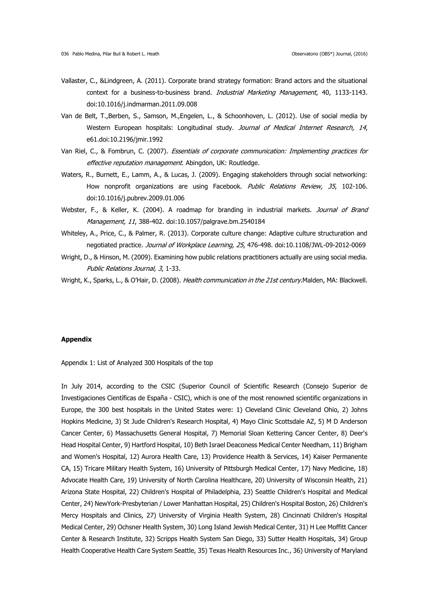- Vallaster, C., &Lindgreen, A. (2011). Corporate brand strategy formation: Brand actors and the situational context for a business-to-business brand. Industrial Marketing Management, 40, 1133-1143. doi:10.1016/j.indmarman.2011.09.008
- Van de Belt, T.,Berben, S., Samson, M.,Engelen, L., & Schoonhoven, L. (2012). Use of social media by Western European hospitals: Longitudinal study. Journal of Medical Internet Research, 14, e61.doi:10.2196/jmir.1992
- Van Riel, C., & Fombrun, C. (2007). *Essentials of corporate communication: Implementing practices for* effective reputation management. Abingdon, UK: Routledge.
- Waters, R., Burnett, E., Lamm, A., & Lucas, J. (2009). Engaging stakeholders through social networking: How nonprofit organizations are using Facebook. Public Relations Review, 35, 102-106. doi:10.1016/j.pubrev.2009.01.006
- Webster, F., & Keller, K. (2004). A roadmap for branding in industrial markets. Journal of Brand Management, 11, 388-402. doi:10.1057/palgrave.bm.2540184
- Whiteley, A., Price, C., & Palmer, R. (2013). Corporate culture change: Adaptive culture structuration and negotiated practice. Journal of Workplace Learning, 25, 476-498. doi:10.1108/JWL-09-2012-0069
- Wright, D., & Hinson, M. (2009). Examining how public relations practitioners actually are using social media. Public Relations Journal, 3, 1-33.

Wright, K., Sparks, L., & O'Hair, D. (2008). Health communication in the 21st century.Malden, MA: Blackwell.

### **Appendix**

Appendix 1: List of Analyzed 300 Hospitals of the top

In July 2014, according to the CSIC (Superior Council of Scientific Research (Consejo Superior de Investigaciones Científicas de España - CSIC), which is one of the most renowned scientific organizations in Europe, the 300 best hospitals in the United States were: 1) Cleveland Clinic Cleveland Ohio, 2) Johns Hopkins Medicine, 3) St Jude Children's Research Hospital, 4) Mayo Clinic Scottsdale AZ, 5) M D Anderson Cancer Center, 6) Massachusetts General Hospital, 7) Memorial Sloan Kettering Cancer Center, 8) Deer's Head Hospital Center, 9) Hartford Hospital, 10) Beth Israel Deaconess Medical Center Needham, 11) Brigham and Women's Hospital, 12) Aurora Health Care, 13) Providence Health & Services, 14) Kaiser Permanente CA, 15) Tricare Military Health System, 16) University of Pittsburgh Medical Center, 17) Navy Medicine, 18) Advocate Health Care, 19) University of North Carolina Healthcare, 20) University of Wisconsin Health, 21) Arizona State Hospital, 22) Children's Hospital of Philadelphia, 23) Seattle Children's Hospital and Medical Center, 24) NewYork-Presbyterian / Lower Manhattan Hospital, 25) Children's Hospital Boston, 26) Children's Mercy Hospitals and Clinics, 27) University of Virginia Health System, 28) Cincinnati Children's Hospital Medical Center, 29) Ochsner Health System, 30) Long Island Jewish Medical Center, 31) H Lee Moffitt Cancer Center & Research Institute, 32) Scripps Health System San Diego, 33) Sutter Health Hospitals, 34) Group Health Cooperative Health Care System Seattle, 35) Texas Health Resources Inc., 36) University of Maryland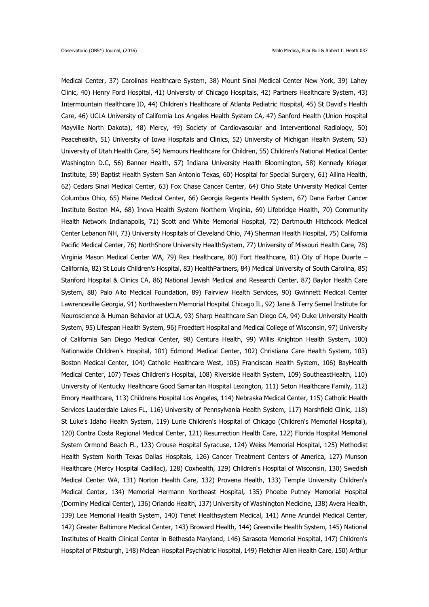Medical Center, 37) Carolinas Healthcare System, 38) Mount Sinai Medical Center New York, 39) Lahey Clinic, 40) Henry Ford Hospital, 41) University of Chicago Hospitals, 42) Partners Healthcare System, 43) Intermountain Healthcare ID, 44) Children's Healthcare of Atlanta Pediatric Hospital, 45) St David's Health Care, 46) UCLA University of California Los Angeles Health System CA, 47) Sanford Health (Union Hospital Mayville North Dakota), 48) Mercy, 49) Society of Cardiovascular and Interventional Radiology, 50) Peacehealth, 51) University of Iowa Hospitals and Clinics, 52) University of Michigan Health System, 53) University of Utah Health Care, 54) Nemours Healthcare for Children, 55) Children's National Medical Center Washington D.C, 56) Banner Health, 57) Indiana University Health Bloomington, 58) Kennedy Krieger Institute, 59) Baptist Health System San Antonio Texas, 60) Hospital for Special Surgery, 61) Allina Health, 62) Cedars Sinai Medical Center, 63) Fox Chase Cancer Center, 64) Ohio State University Medical Center Columbus Ohio, 65) Maine Medical Center, 66) Georgia Regents Health System, 67) Dana Farber Cancer Institute Boston MA, 68) Inova Health System Northern Virginia, 69) Lifebridge Health, 70) Community Health Network Indianapolis, 71) Scott and White Memorial Hospital, 72) Dartmouth Hitchcock Medical Center Lebanon NH, 73) University Hospitals of Cleveland Ohio, 74) Sherman Health Hospital, 75) California Pacific Medical Center, 76) NorthShore University HealthSystem, 77) University of Missouri Health Care, 78) Virginia Mason Medical Center WA, 79) Rex Healthcare, 80) Fort Healthcare, 81) City of Hope Duarte – California, 82) St Louis Children's Hospital, 83) HealthPartners, 84) Medical University of South Carolina, 85) Stanford Hospital & Clinics CA, 86) National Jewish Medical and Research Center, 87) Baylor Health Care System, 88) Palo Alto Medical Foundation, 89) Fairview Health Services, 90) Gwinnett Medical Center Lawrenceville Georgia, 91) Northwestern Memorial Hospital Chicago IL, 92) Jane & Terry Semel Institute for Neuroscience & Human Behavior at UCLA, 93) Sharp Healthcare San Diego CA, 94) Duke University Health System, 95) Lifespan Health System, 96) Froedtert Hospital and Medical College of Wisconsin, 97) University of California San Diego Medical Center, 98) Centura Health, 99) Willis Knighton Health System, 100) Nationwide Children's Hospital, 101) Edmond Medical Center, 102) Christiana Care Health System, 103) Boston Medical Center, 104) Catholic Healthcare West, 105) Franciscan Health System, 106) BayHealth Medical Center, 107) Texas Children's Hospital, 108) Riverside Health System, 109) SoutheastHealth, 110) University of Kentucky Healthcare Good Samaritan Hospital Lexington, 111) Seton Healthcare Family, 112) Emory Healthcare, 113) Childrens Hospital Los Angeles, 114) Nebraska Medical Center, 115) Catholic Health Services Lauderdale Lakes FL, 116) University of Pennsylvania Health System, 117) Marshfield Clinic, 118) St Luke's Idaho Health System, 119) Lurie Children's Hospital of Chicago (Children's Memorial Hospital), 120) Contra Costa Regional Medical Center, 121) Resurrection Health Care, 122) Florida Hospital Memorial System Ormond Beach FL, 123) Crouse Hospital Syracuse, 124) Weiss Memorial Hospital, 125) Methodist Health System North Texas Dallas Hospitals, 126) Cancer Treatment Centers of America, 127) Munson Healthcare (Mercy Hospital Cadillac), 128) Coxhealth, 129) Children's Hospital of Wisconsin, 130) Swedish Medical Center WA, 131) Norton Health Care, 132) Provena Health, 133) Temple University Children's Medical Center, 134) Memorial Hermann Northeast Hospital, 135) Phoebe Putney Memorial Hospital (Dorminy Medical Center), 136) Orlando Health, 137) University of Washington Medicine, 138) Avera Health, 139) Lee Memorial Health System, 140) Tenet Healthsystem Medical, 141) Anne Arundel Medical Center, 142) Greater Baltimore Medical Center, 143) Broward Health, 144) Greenville Health System, 145) National Institutes of Health Clinical Center in Bethesda Maryland, 146) Sarasota Memorial Hospital, 147) Children's Hospital of Pittsburgh, 148) Mclean Hospital Psychiatric Hospital, 149) Fletcher Allen Health Care, 150) Arthur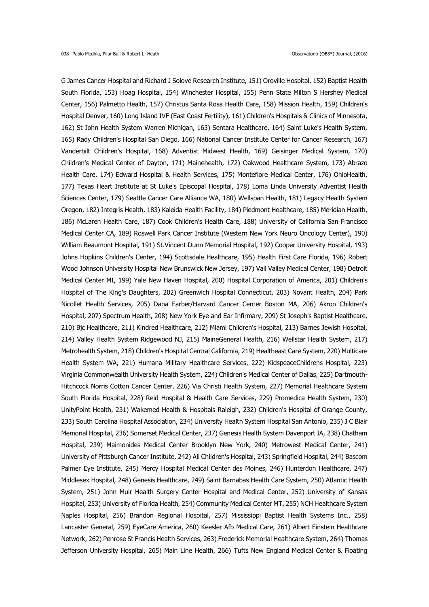G James Cancer Hospital and Richard J Solove Research Institute, 151) Oroville Hospital, 152) Baptist Health South Florida, 153) Hoag Hospital, 154) Winchester Hospital, 155) Penn State Milton S Hershey Medical Center, 156) Palmetto Health, 157) Christus Santa Rosa Health Care, 158) Mission Health, 159) Children's Hospital Denver, 160) Long Island IVF (East Coast Fertility), 161) Children's Hospitals & Clinics of Minnesota, 162) St John Health System Warren Michigan, 163) Sentara Healthcare, 164) Saint Luke's Health System, 165) Rady Children's Hospital San Diego, 166) National Cancer Institute Center for Cancer Research, 167) Vanderbilt Children's Hospital, 168) Adventist Midwest Health, 169) Geisinger Medical System, 170) Children's Medical Center of Dayton, 171) Mainehealth, 172) Oakwood Healthcare System, 173) Abrazo Health Care, 174) Edward Hospital & Health Services, 175) Montefiore Medical Center, 176) OhioHealth, 177) Texas Heart Institute at St Luke's Episcopal Hospital, 178) Loma Linda University Adventist Health Sciences Center, 179) Seattle Cancer Care Alliance WA, 180) Wellspan Health, 181) Legacy Health System Oregon, 182) Integris Health, 183) Kaleida Health Facility, 184) Piedmont Healthcare, 185) Meridian Health, 186) McLaren Health Care, 187) Cook Children's Health Care, 188) University of California San Francisco Medical Center CA, 189) Roswell Park Cancer Institute (Western New York Neuro Oncology Center), 190) William Beaumont Hospital, 191) St.Vincent Dunn Memorial Hospital, 192) Cooper University Hospital, 193) Johns Hopkins Children's Center, 194) Scottsdale Healthcare, 195) Health First Care Florida, 196) Robert Wood Johnson University Hospital New Brunswick New Jersey, 197) Vail Valley Medical Center, 198) Detroit Medical Center MI, 199) Yale New Haven Hospital, 200) Hospital Corporation of America, 201) Children's Hospital of The King's Daughters, 202) Greenwich Hospital Connecticut, 203) Novant Health, 204) Park Nicollet Health Services, 205) Dana Farber/Harvard Cancer Center Boston MA, 206) Akron Children's Hospital, 207) Spectrum Health, 208) New York Eye and Ear Infirmary, 209) St Joseph's Baptist Healthcare, 210) Bjc Healthcare, 211) Kindred Healthcare, 212) Miami Children's Hospital, 213) Barnes Jewish Hospital, 214) Valley Health System Ridgewood NJ, 215) MaineGeneral Health, 216) Wellstar Health System, 217) Metrohealth System, 218) Children's Hospital Central California, 219) Healtheast Care System, 220) Multicare Health System WA, 221) Humana Military Healthcare Services, 222) KidspeaceChildrens Hospital, 223) Virginia Commonwealth University Health System, 224) Children's Medical Center of Dallas, 225) Dartmouth-Hitchcock Norris Cotton Cancer Center, 226) Via Christi Health System, 227) Memorial Healthcare System South Florida Hospital, 228) Reid Hospital & Health Care Services, 229) Promedica Health System, 230) UnityPoint Health, 231) Wakemed Health & Hospitals Raleigh, 232) Children's Hospital of Orange County, 233) South Carolina Hospital Association, 234) University Health System Hospital San Antonio, 235) J C Blair Memorial Hospital, 236) Somerset Medical Center, 237) Genesis Health System Davenport IA, 238) Chatham Hospital, 239) Maimonides Medical Center Brooklyn New York, 240) Metrowest Medical Center, 241) University of Pittsburgh Cancer Institute, 242) All Children's Hospital, 243) Springfield Hospital, 244) Bascom Palmer Eye Institute, 245) Mercy Hospital Medical Center des Moines, 246) Hunterdon Healthcare, 247) Middlesex Hospital, 248) Genesis Healthcare, 249) Saint Barnabas Health Care System, 250) Atlantic Health System, 251) John Muir Health Surgery Center Hospital and Medical Center, 252) University of Kansas Hospital, 253) University of Florida Health, 254) Community Medical Center MT, 255) NCH Healthcare System Naples Hospital, 256) Brandon Regional Hospital, 257) Mississippi Baptist Health Systems Inc., 258) Lancaster General, 259) EyeCare America, 260) Keesler Afb Medical Care, 261) Albert Einstein Healthcare Network, 262) Penrose St Francis Health Services, 263) Frederick Memorial Healthcare System, 264) Thomas Jefferson University Hospital, 265) Main Line Health, 266) Tufts New England Medical Center & Floating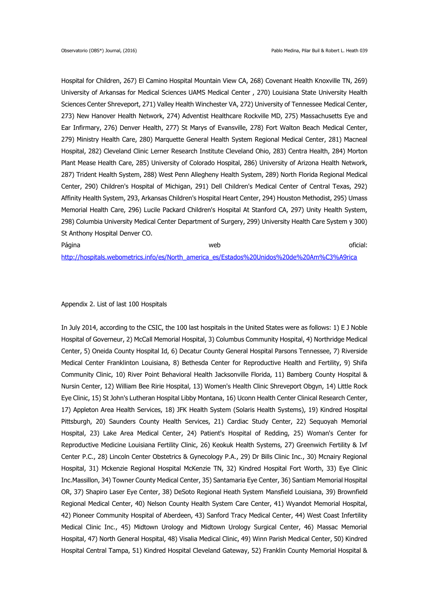Hospital for Children, 267) El Camino Hospital Mountain View CA, 268) Covenant Health Knoxville TN, 269) University of Arkansas for Medical Sciences UAMS Medical Center , 270) Louisiana State University Health Sciences Center Shreveport, 271) Valley Health Winchester VA, 272) University of Tennessee Medical Center, 273) New Hanover Health Network, 274) Adventist Healthcare Rockville MD, 275) Massachusetts Eye and Ear Infirmary, 276) Denver Health, 277) St Marys of Evansville, 278) Fort Walton Beach Medical Center, 279) Ministry Health Care, 280) Marquette General Health System Regional Medical Center, 281) Macneal Hospital, 282) Cleveland Clinic Lerner Research Institute Cleveland Ohio, 283) Centra Health, 284) Morton Plant Mease Health Care, 285) University of Colorado Hospital, 286) University of Arizona Health Network, 287) Trident Health System, 288) West Penn Allegheny Health System, 289) North Florida Regional Medical Center, 290) Children's Hospital of Michigan, 291) Dell Children's Medical Center of Central Texas, 292) Affinity Health System, 293, Arkansas Children's Hospital Heart Center, 294) Houston Methodist, 295) Umass Memorial Health Care, 296) Lucile Packard Children's Hospital At Stanford CA, 297) Unity Health System, 298) Columbia University Medical Center Department of Surgery, 299) University Health Care System y 300) St Anthony Hospital Denver CO.

Página a constantino de la constantino de la constantino de la constantino de la constantino de la constantino<br>De la constantino de la constantino de la constantino de la constantino de la constantino de la constantino de [http://hospitals.webometrics.info/es/North\\_america\\_es/Estados%20Unidos%20de%20Am%C3%A9rica](http://hospitals.webometrics.info/es/North_america_es/Estados%20Unidos%20de%20Am%C3%A9rica)

# Appendix 2. List of last 100 Hospitals

In July 2014, according to the CSIC, the 100 last hospitals in the United States were as follows: 1) E J Noble Hospital of Governeur, 2) McCall Memorial Hospital, 3) Columbus Community Hospital, 4) Northridge Medical Center, 5) Oneida County Hospital Id, 6) Decatur County General Hospital Parsons Tennessee, 7) Riverside Medical Center Franklinton Louisiana, 8) Bethesda Center for Reproductive Health and Fertility, 9) Shifa Community Clinic, 10) River Point Behavioral Health Jacksonville Florida, 11) Bamberg County Hospital & Nursin Center, 12) William Bee Ririe Hospital, 13) Women's Health Clinic Shreveport Obgyn, 14) Little Rock Eye Clinic, 15) St John's Lutheran Hospital Libby Montana, 16) Uconn Health Center Clinical Research Center, 17) Appleton Area Health Services, 18) JFK Health System (Solaris Health Systems), 19) Kindred Hospital Pittsburgh, 20) Saunders County Health Services, 21) Cardiac Study Center, 22) Sequoyah Memorial Hospital, 23) Lake Area Medical Center, 24) Patient's Hospital of Redding, 25) Woman's Center for Reproductive Medicine Louisiana Fertility Clinic, 26) Keokuk Health Systems, 27) Greenwich Fertility & Ivf Center P.C., 28) Lincoln Center Obstetrics & Gynecology P.A., 29) Dr Bills Clinic Inc., 30) Mcnairy Regional Hospital, 31) Mckenzie Regional Hospital McKenzie TN, 32) Kindred Hospital Fort Worth, 33) Eye Clinic Inc.Massillon, 34) Towner County Medical Center, 35) Santamaria Eye Center, 36) Santiam Memorial Hospital OR, 37) Shapiro Laser Eye Center, 38) DeSoto Regional Heath System Mansfield Louisiana, 39) Brownfield Regional Medical Center, 40) Nelson County Health System Care Center, 41) Wyandot Memorial Hospital, 42) Pioneer Community Hospital of Aberdeen, 43) Sanford Tracy Medical Center, 44) West Coast Infertility Medical Clinic Inc., 45) Midtown Urology and Midtown Urology Surgical Center, 46) Massac Memorial Hospital, 47) North General Hospital, 48) Visalia Medical Clinic, 49) Winn Parish Medical Center, 50) Kindred Hospital Central Tampa, 51) Kindred Hospital Cleveland Gateway, 52) Franklin County Memorial Hospital &